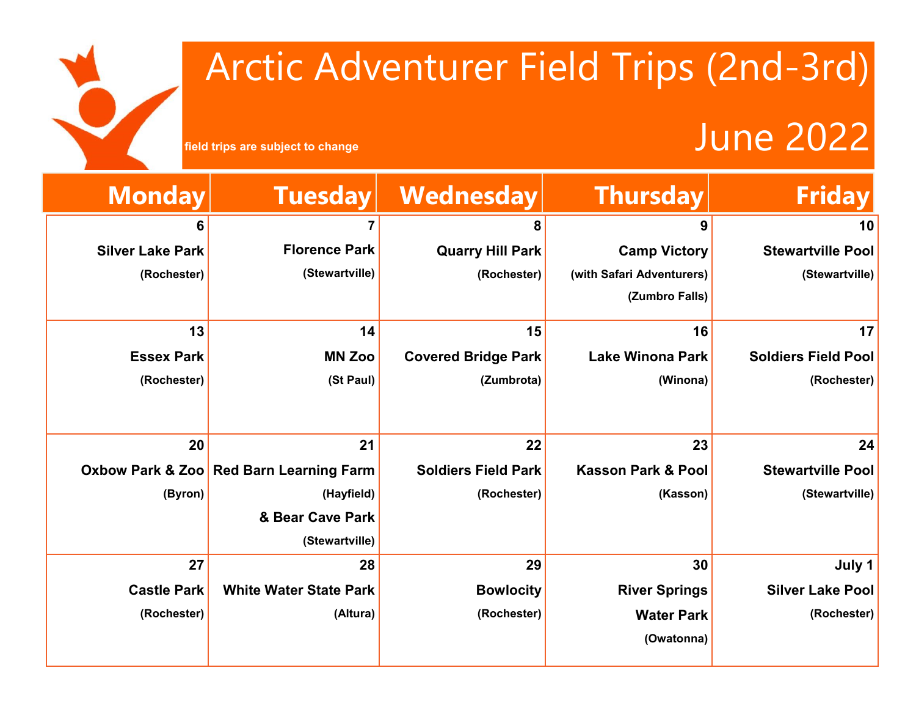# Arctic Adventurer Field Trips (2nd-3rd)

### **field trips are subject to change**

| <b>Friday</b>              | <b>Thursday</b>               | Wednesday                  | <b>Tuesday</b>                          | <b>Monday</b>           |
|----------------------------|-------------------------------|----------------------------|-----------------------------------------|-------------------------|
| 10                         | 9                             | 8                          |                                         | 6                       |
| <b>Stewartville Pool</b>   | <b>Camp Victory</b>           | <b>Quarry Hill Park</b>    | <b>Florence Park</b>                    | <b>Silver Lake Park</b> |
| (Stewartville)             | (with Safari Adventurers)     | (Rochester)                | (Stewartville)                          | (Rochester)             |
|                            | (Zumbro Falls)                |                            |                                         |                         |
| 17                         | 16                            | 15                         | 14                                      | 13                      |
| <b>Soldiers Field Pool</b> | <b>Lake Winona Park</b>       | <b>Covered Bridge Park</b> | <b>MN Zoo</b>                           | <b>Essex Park</b>       |
| (Rochester)                | (Winona)                      | (Zumbrota)                 | (St Paul)                               | (Rochester)             |
|                            |                               |                            |                                         |                         |
| 24                         | 23                            | 22                         | 21                                      | 20                      |
| <b>Stewartville Pool</b>   | <b>Kasson Park &amp; Pool</b> | <b>Soldiers Field Park</b> | Oxbow Park & Zoo Red Barn Learning Farm |                         |
| (Stewartville)             | (Kasson)                      | (Rochester)                | (Hayfield)                              | (Byron)                 |
|                            |                               |                            | & Bear Cave Park                        |                         |
|                            |                               |                            | (Stewartville)                          |                         |
| July 1                     | 30                            | 29                         | 28                                      | 27                      |
| <b>Silver Lake Pool</b>    | <b>River Springs</b>          | <b>Bowlocity</b>           | <b>White Water State Park</b>           | <b>Castle Park</b>      |
| (Rochester)                | <b>Water Park</b>             | (Rochester)                | (Altura)                                | (Rochester)             |
|                            | (Owatonna)                    |                            |                                         |                         |
|                            |                               |                            |                                         |                         |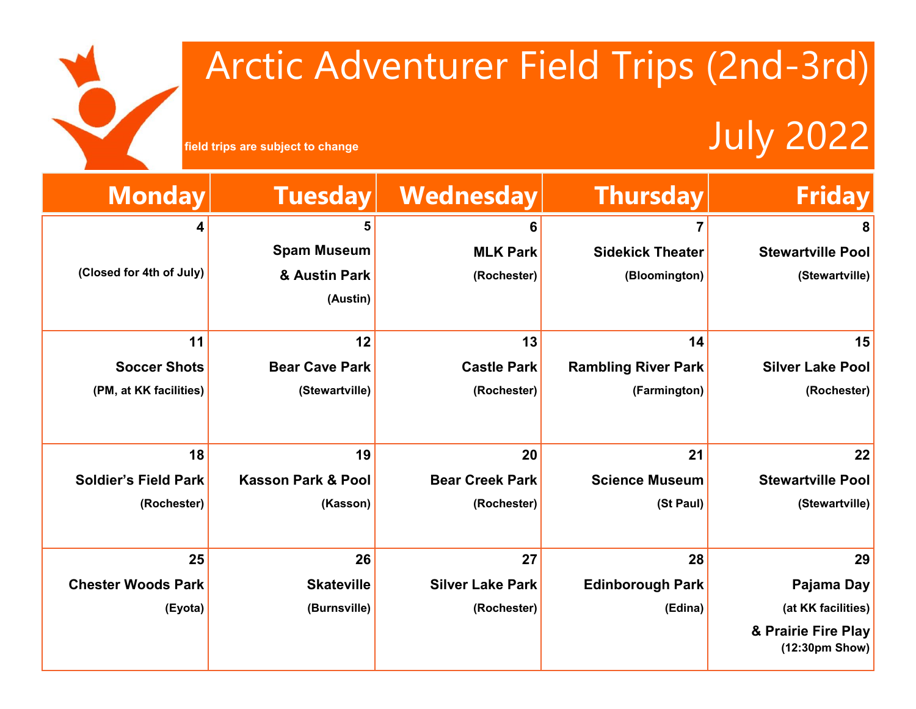## Arctic Adventurer Field Trips (2nd-3rd)

### **Field trips are subject to change** July 2022

I